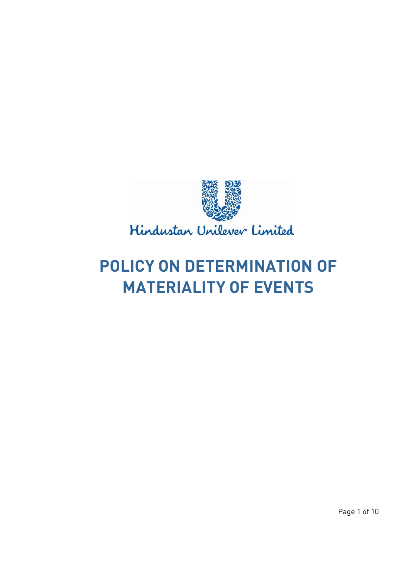

Hindustan Unilever Limited

# **POLICY ON DETERMINATION OF MATERIALITY OF EVENTS**

Page 1 of 10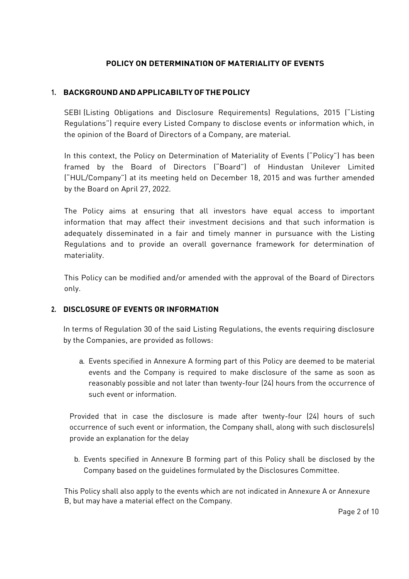# **POLICY ON DETERMINATION OF MATERIALITY OF EVENTS**

# **1. BACKGROUNDANDAPPLICABILTYOFTHEPOLICY**

SEBI (Listing Obligations and Disclosure Requirements) Regulations, 2015 ("Listing Regulations") require every Listed Company to disclose events or information which, in the opinion of the Board of Directors of a Company, are material.

In this context, the Policy on Determination of Materiality of Events ("Policy") has been framed by the Board of Directors ("Board") of Hindustan Unilever Limited ("HUL/Company") at its meeting held on December 18, 2015 and was further amended by the Board on April 27, 2022.

The Policy aims at ensuring that all investors have equal access to important information that may affect their investment decisions and that such information is adequately disseminated in a fair and timely manner in pursuance with the Listing Regulations and to provide an overall governance framework for determination of materiality.

This Policy can be modified and/or amended with the approval of the Board of Directors only.

### **2. DISCLOSURE OF EVENTS OR INFORMATION**

In terms of Regulation 30 of the said Listing Regulations, the events requiring disclosure by the Companies, are provided as follows:

a. Events specified in Annexure A forming part of this Policy are deemed to be material events and the Company is required to make disclosure of the same as soon as reasonably possible and not later than twenty-four (24) hours from the occurrence of such event or information.

Provided that in case the disclosure is made after twenty-four (24) hours of such occurrence of such event or information, the Company shall, along with such disclosure(s) provide an explanation for the delay

b. Events specified in Annexure B forming part of this Policy shall be disclosed by the Company based on the guidelines formulated by the Disclosures Committee.

This Policy shall also apply to the events which are not indicated in Annexure A or Annexure B, but may have a material effect on the Company.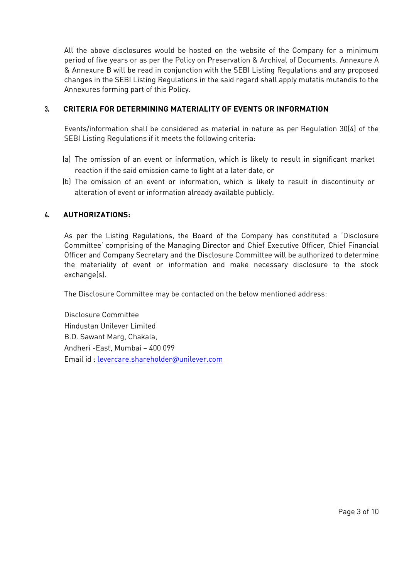All the above disclosures would be hosted on the website of the Company for a minimum period of five years or as per the Policy on Preservation & Archival of Documents. Annexure A & Annexure B will be read in conjunction with the SEBI Listing Regulations and any proposed changes in the SEBI Listing Regulations in the said regard shall apply mutatis mutandis to the Annexures forming part of this Policy.

## **3. CRITERIA FOR DETERMINING MATERIALITY OF EVENTS OR INFORMATION**

Events/information shall be considered as material in nature as per Regulation 30(4) of the SEBI Listing Regulations if it meets the following criteria:

- (a) The omission of an event or information, which is likely to result in significant market reaction if the said omission came to light at a later date, or
- (b) The omission of an event or information, which is likely to result in discontinuity or alteration of event or information already available publicly.

# **4. AUTHORIZATIONS:**

As per the Listing Regulations, the Board of the Company has constituted a 'Disclosure Committee' comprising of the Managing Director and Chief Executive Officer, Chief Financial Officer and Company Secretary and the Disclosure Committee will be authorized to determine the materiality of event or information and make necessary disclosure to the stock exchange(s).

The Disclosure Committee may be contacted on the below mentioned address:

Disclosure Committee Hindustan Unilever Limited B.D. Sawant Marg, Chakala, Andheri -East, Mumbai – 400 099 Email id [: levercare.shareholder@unilever.com](mailto:levercare.shareholder@unilever.com)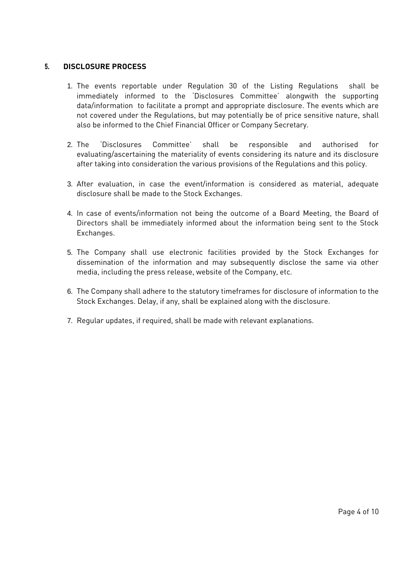#### **5. DISCLOSURE PROCESS**

- 1. The events reportable under Regulation 30 of the Listing Regulations shall be immediately informed to the 'Disclosures Committee' alongwith the supporting data/information to facilitate a prompt and appropriate disclosure. The events which are not covered under the Regulations, but may potentially be of price sensitive nature, shall also be informed to the Chief Financial Officer or Company Secretary.
- 2. The 'Disclosures Committee' shall be responsible and authorised for evaluating/ascertaining the materiality of events considering its nature and its disclosure after taking into consideration the various provisions of the Regulations and this policy.
- 3. After evaluation, in case the event/information is considered as material, adequate disclosure shall be made to the Stock Exchanges.
- 4. In case of events/information not being the outcome of a Board Meeting, the Board of Directors shall be immediately informed about the information being sent to the Stock Exchanges.
- 5. The Company shall use electronic facilities provided by the Stock Exchanges for dissemination of the information and may subsequently disclose the same via other media, including the press release, website of the Company, etc.
- 6. The Company shall adhere to the statutory timeframes for disclosure of information to the Stock Exchanges. Delay, if any, shall be explained along with the disclosure.
- 7. Regular updates, if required, shall be made with relevant explanations.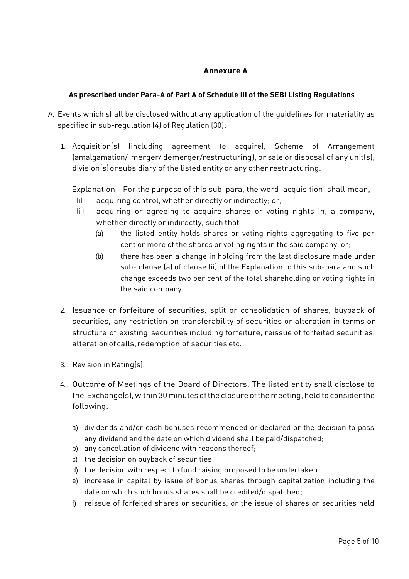# **Annexure A**

# **As prescribed under Para-A of Part A of Schedule III of the SEBI Listing Regulations**

- A. Events which shall be disclosed without any application of the guidelines for materiality as specified in sub-regulation (4) of Regulation (30):
	- 1. Acquisition(s) (including agreement to acquire), Scheme of Arrangement (amalgamation/ merger/ demerger/restructuring), or sale or disposal of any unit(s), division(s)orsubsidiary of the listed entity or any other restructuring.

Explanation - For the purpose of this sub-para, the word 'acquisition' shall mean,-

- (i) acquiring control, whether directly or indirectly; or,
- (ii) acquiring or agreeing to acquire shares or voting rights in, a company, whether directly or indirectly, such that –
	- (a) the listed entity holds shares or voting rights aggregating to five per cent or more of the shares or voting rights in the said company, or;
	- (b) there has been a change in holding from the last disclosure made under sub- clause (a) of clause (ii) of the Explanation to this sub-para and such change exceeds two per cent of the total shareholding or voting rights in the said company.
- 2. Issuance or forfeiture of securities, split or consolidation of shares, buyback of securities, any restriction on transferability of securities or alteration in terms or structure of existing securities including forfeiture, reissue of forfeited securities, alterationofcalls,redemption of securities etc.
- 3. Revision in Rating(s).
- 4. Outcome of Meetings of the Board of Directors: The listed entity shall disclose to the Exchange(s), within 30minutes ofthe closure ofthemeeting, held to consider the following:
	- a) dividends and/or cash bonuses recommended or declared or the decision to pass any dividend and the date on which dividend shall be paid/dispatched;
	- b) any cancellation of dividend with reasons thereof;
	- c) the decision on buyback of securities;
	- d) the decision with respect to fund raising proposed to be undertaken
	- e) increase in capital by issue of bonus shares through capitalization including the date on which such bonus shares shall be credited/dispatched;
	- f) reissue of forfeited shares or securities, or the issue of shares or securities held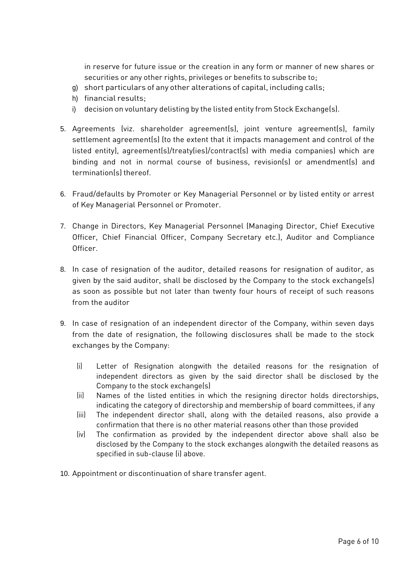in reserve for future issue or the creation in any form or manner of new shares or securities or any other rights, privileges or benefits to subscribe to;

- g) short particulars of any other alterations of capital, including calls;
- h) financial results;
- i) decision on voluntary delisting by the listed entity from Stock Exchange(s).
- 5. Agreements (viz. shareholder agreement(s), joint venture agreement(s), family settlement agreement(s) (to the extent that it impacts management and control of the listed entity), agreement(s)/treaty(ies)/contract(s) with media companies) which are binding and not in normal course of business, revision(s) or amendment(s) and termination(s) thereof.
- 6. Fraud/defaults by Promoter or Key Managerial Personnel or by listed entity or arrest of Key Managerial Personnel or Promoter.
- 7. Change in Directors, Key Managerial Personnel (Managing Director, Chief Executive Officer, Chief Financial Officer, Company Secretary etc.), Auditor and Compliance Officer.
- 8. In case of resignation of the auditor, detailed reasons for resignation of auditor, as given by the said auditor, shall be disclosed by the Company to the stock exchange(s) as soon as possible but not later than twenty four hours of receipt of such reasons from the auditor
- 9. In case of resignation of an independent director of the Company, within seven days from the date of resignation, the following disclosures shall be made to the stock exchanges by the Company:
	- (i) Letter of Resignation alongwith the detailed reasons for the resignation of independent directors as given by the said director shall be disclosed by the Company to the stock exchange(s)
	- (ii) Names of the listed entities in which the resigning director holds directorships, indicating the category of directorship and membership of board committees, if any
	- (iii) The independent director shall, along with the detailed reasons, also provide a confirmation that there is no other material reasons other than those provided
	- (iv) The confirmation as provided by the independent director above shall also be disclosed by the Company to the stock exchanges alongwith the detailed reasons as specified in sub-clause (i) above.
- 10. Appointment or discontinuation of share transfer agent.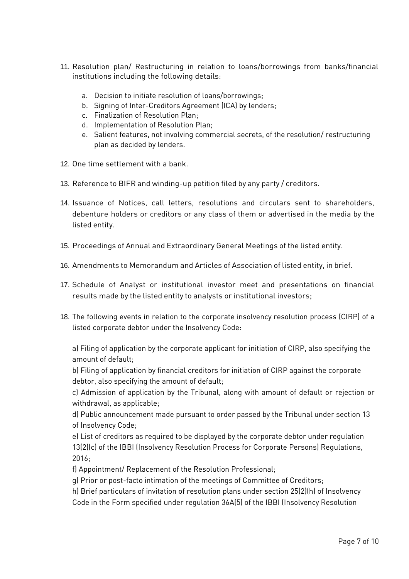- 11. Resolution plan/ Restructuring in relation to loans/borrowings from banks/financial institutions including the following details:
	- a. Decision to initiate resolution of loans/borrowings;
	- b. Signing of Inter-Creditors Agreement (ICA) by lenders;
	- c. Finalization of Resolution Plan;
	- d. Implementation of Resolution Plan;
	- e. Salient features, not involving commercial secrets, of the resolution/ restructuring plan as decided by lenders.
- 12. One time settlement with a bank.
- 13. Reference to BIFR and winding-up petition filed by any party / creditors.
- 14. Issuance of Notices, call letters, resolutions and circulars sent to shareholders, debenture holders or creditors or any class of them or advertised in the media by the listed entity.
- 15. Proceedings of Annual and Extraordinary General Meetings of the listed entity.
- 16. Amendments to Memorandum and Articles of Association of listed entity, in brief.
- 17. Schedule of Analyst or institutional investor meet and presentations on financial results made by the listed entity to analysts or institutional investors;
- 18. The following events in relation to the corporate insolvency resolution process (CIRP) of a listed corporate debtor under the Insolvency Code:

a) Filing of application by the corporate applicant for initiation of CIRP, also specifying the amount of default;

b) Filing of application by financial creditors for initiation of CIRP against the corporate debtor, also specifying the amount of default;

c) Admission of application by the Tribunal, along with amount of default or rejection or withdrawal, as applicable;

d) Public announcement made pursuant to order passed by the Tribunal under section 13 of Insolvency Code;

e) List of creditors as required to be displayed by the corporate debtor under regulation 13(2)(c) of the IBBI (Insolvency Resolution Process for Corporate Persons) Regulations, 2016;

f) Appointment/ Replacement of the Resolution Professional;

g) Prior or post-facto intimation of the meetings of Committee of Creditors;

h) Brief particulars of invitation of resolution plans under section 25(2)(h) of Insolvency Code in the Form specified under regulation 36A(5) of the IBBI (Insolvency Resolution

Page 7 of 10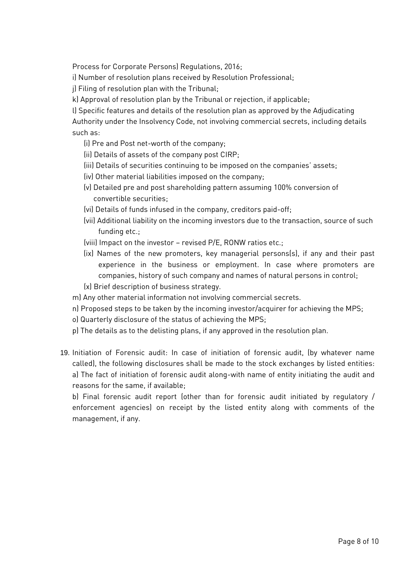Process for Corporate Persons) Regulations, 2016;

i) Number of resolution plans received by Resolution Professional;

j) Filing of resolution plan with the Tribunal;

k) Approval of resolution plan by the Tribunal or rejection, if applicable;

l) Specific features and details of the resolution plan as approved by the Adjudicating Authority under the Insolvency Code, not involving commercial secrets, including details such as:

- (i) Pre and Post net-worth of the company;
- (ii) Details of assets of the company post CIRP;
- (iii) Details of securities continuing to be imposed on the companies' assets;
- (iv) Other material liabilities imposed on the company;
- (v) Detailed pre and post shareholding pattern assuming 100% conversion of convertible securities;
- (vi) Details of funds infused in the company, creditors paid-off;
- (vii) Additional liability on the incoming investors due to the transaction, source of such funding etc.;
- (viii) Impact on the investor revised P/E, RONW ratios etc.;
- (ix) Names of the new promoters, key managerial persons(s), if any and their past experience in the business or employment. In case where promoters are companies, history of such company and names of natural persons in control;
- (x) Brief description of business strategy.
- m) Any other material information not involving commercial secrets.
- n) Proposed steps to be taken by the incoming investor/acquirer for achieving the MPS;
- o) Quarterly disclosure of the status of achieving the MPS;
- p) The details as to the delisting plans, if any approved in the resolution plan.
- 19. Initiation of Forensic audit: In case of initiation of forensic audit, (by whatever name called), the following disclosures shall be made to the stock exchanges by listed entities: a) The fact of initiation of forensic audit along-with name of entity initiating the audit and reasons for the same, if available;

b) Final forensic audit report (other than for forensic audit initiated by regulatory / enforcement agencies) on receipt by the listed entity along with comments of the management, if any.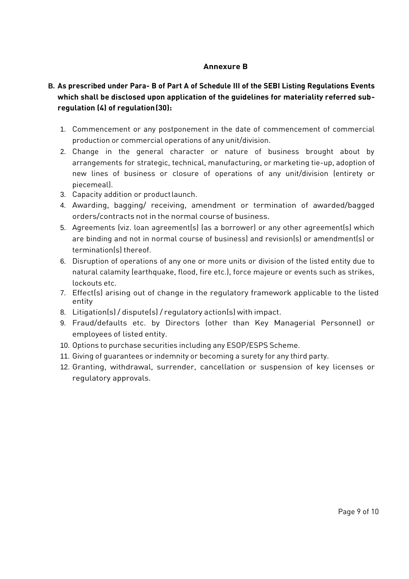## **Annexure B**

# **B. As prescribed under Para- B of Part A of Schedule III of the SEBI Listing Regulations Events which shall be disclosed upon application of the guidelines for materiality referred subregulation (4) of regulation(30):**

- 1. Commencement or any postponement in the date of commencement of commercial production or commercial operations of any unit/division.
- 2. Change in the general character or nature of business brought about by arrangements for strategic, technical, manufacturing, or marketing tie-up, adoption of new lines of business or closure of operations of any unit/division (entirety or piecemeal).
- 3. Capacity addition or productlaunch.
- 4. Awarding, bagging/ receiving, amendment or termination of awarded/bagged orders/contracts not in the normal course of business.
- 5. Agreements (viz. loan agreement(s) (as a borrower) or any other agreement(s) which are binding and not in normal course of business) and revision(s) or amendment(s) or termination(s) thereof.
- 6. Disruption of operations of any one or more units or division of the listed entity due to natural calamity (earthquake, flood, fire etc.), force majeure or events such as strikes, lockouts etc.
- 7. Effect(s) arising out of change in the regulatory framework applicable to the listed entity
- 8. Litigation(s) / dispute(s) / regulatory action(s) with impact.
- 9. Fraud/defaults etc. by Directors (other than Key Managerial Personnel) or employees of listed entity.
- 10. Options to purchase securities including any ESOP/ESPS Scheme.
- 11. Giving of guarantees or indemnity or becoming a surety for any third party.
- 12. Granting, withdrawal, surrender, cancellation or suspension of key licenses or regulatory approvals.